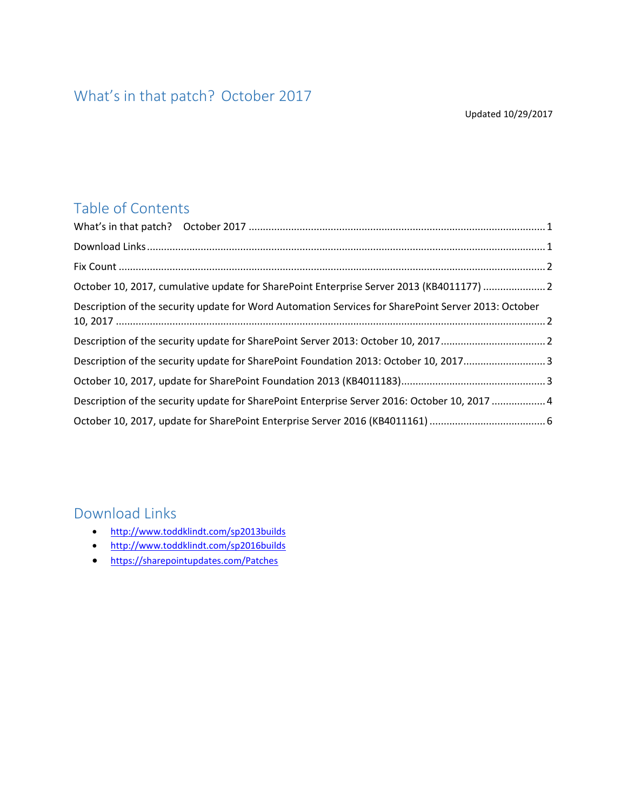### <span id="page-0-0"></span>What's in that patch? October 2017

Updated 10/29/2017

#### Table of Contents

| October 10, 2017, cumulative update for SharePoint Enterprise Server 2013 (KB4011177)  2            |  |
|-----------------------------------------------------------------------------------------------------|--|
| Description of the security update for Word Automation Services for SharePoint Server 2013: October |  |
| Description of the security update for SharePoint Server 2013: October 10, 20172                    |  |
| Description of the security update for SharePoint Foundation 2013: October 10, 20173                |  |
|                                                                                                     |  |
| Description of the security update for SharePoint Enterprise Server 2016: October 10, 2017 4        |  |
|                                                                                                     |  |

#### <span id="page-0-1"></span>Download Links

- <http://www.toddklindt.com/sp2013builds>
- <http://www.toddklindt.com/sp2016builds>
- <https://sharepointupdates.com/Patches>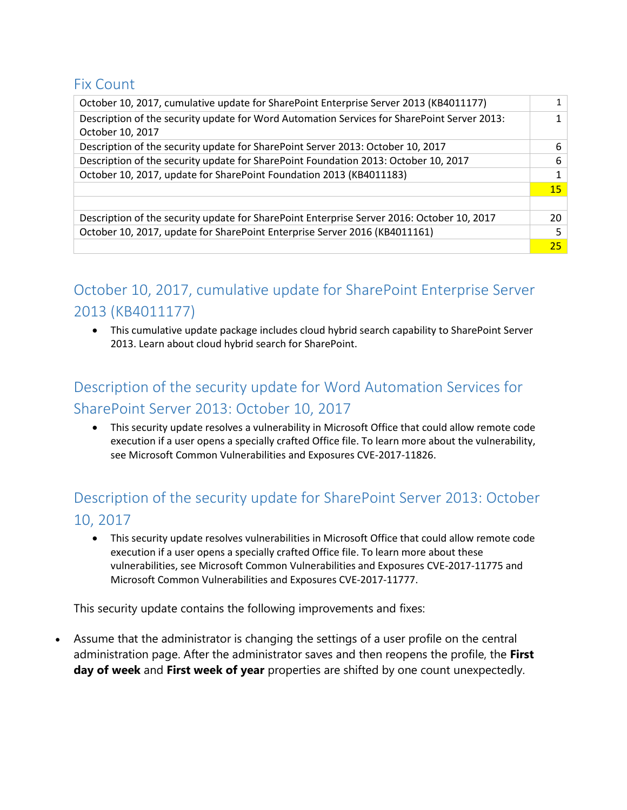#### <span id="page-1-0"></span>Fix Count

| October 10, 2017, cumulative update for SharePoint Enterprise Server 2013 (KB4011177)                           |           |
|-----------------------------------------------------------------------------------------------------------------|-----------|
| Description of the security update for Word Automation Services for SharePoint Server 2013:<br>October 10, 2017 |           |
| Description of the security update for SharePoint Server 2013: October 10, 2017                                 | 6         |
| Description of the security update for SharePoint Foundation 2013: October 10, 2017                             | 6         |
| October 10, 2017, update for SharePoint Foundation 2013 (KB4011183)                                             |           |
|                                                                                                                 | <b>15</b> |
|                                                                                                                 |           |
| Description of the security update for SharePoint Enterprise Server 2016: October 10, 2017                      | 20        |
| October 10, 2017, update for SharePoint Enterprise Server 2016 (KB4011161)                                      | 5         |
|                                                                                                                 | 25        |

## <span id="page-1-1"></span>October 10, 2017, cumulative update for SharePoint Enterprise Server 2013 (KB4011177)

• This cumulative update package includes cloud hybrid search capability to SharePoint Server 2013. Learn about cloud hybrid search for SharePoint.

# <span id="page-1-2"></span>Description of the security update for Word Automation Services for SharePoint Server 2013: October 10, 2017

• This security update resolves a vulnerability in Microsoft Office that could allow remote code execution if a user opens a specially crafted Office file. To learn more about the vulnerability, see Microsoft Common Vulnerabilities and Exposures CVE-2017-11826.

## <span id="page-1-3"></span>Description of the security update for SharePoint Server 2013: October 10, 2017

• This security update resolves vulnerabilities in Microsoft Office that could allow remote code execution if a user opens a specially crafted Office file. To learn more about these vulnerabilities, see Microsoft Common Vulnerabilities and Exposures CVE-2017-11775 and Microsoft Common Vulnerabilities and Exposures CVE-2017-11777.

This security update contains the following improvements and fixes:

• Assume that the administrator is changing the settings of a user profile on the central administration page. After the administrator saves and then reopens the profile, the **First day of week** and **First week of year** properties are shifted by one count unexpectedly.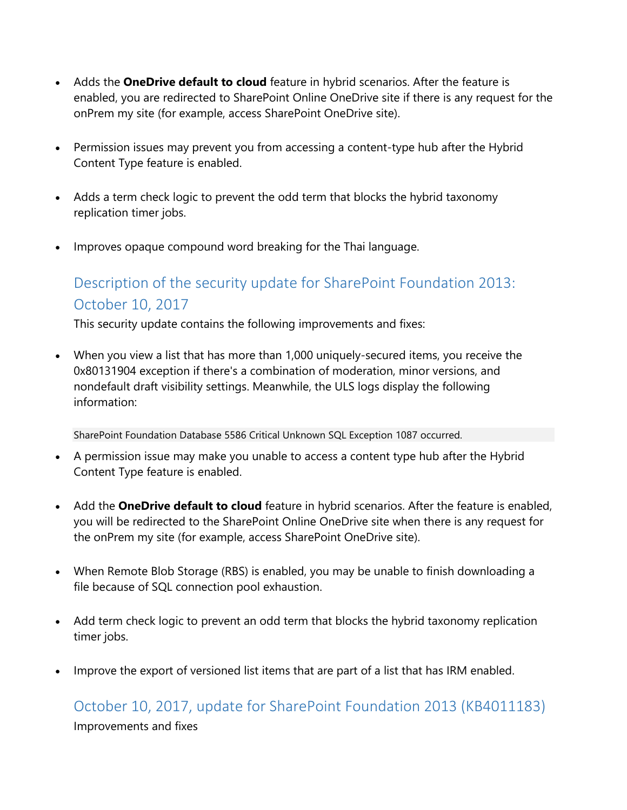- Adds the **OneDrive default to cloud** feature in hybrid scenarios. After the feature is enabled, you are redirected to SharePoint Online OneDrive site if there is any request for the onPrem my site (for example, access SharePoint OneDrive site).
- Permission issues may prevent you from accessing a content-type hub after the Hybrid Content Type feature is enabled.
- Adds a term check logic to prevent the odd term that blocks the hybrid taxonomy replication timer jobs.
- Improves opaque compound word breaking for the Thai language.

### <span id="page-2-0"></span>Description of the security update for SharePoint Foundation 2013: October 10, 2017

This security update contains the following improvements and fixes:

• When you view a list that has more than 1,000 uniquely-secured items, you receive the 0x80131904 exception if there's a combination of moderation, minor versions, and nondefault draft visibility settings. Meanwhile, the ULS logs display the following information:

SharePoint Foundation Database 5586 Critical Unknown SQL Exception 1087 occurred.

- A permission issue may make you unable to access a content type hub after the Hybrid Content Type feature is enabled.
- Add the **OneDrive default to cloud** feature in hybrid scenarios. After the feature is enabled, you will be redirected to the SharePoint Online OneDrive site when there is any request for the onPrem my site (for example, access SharePoint OneDrive site).
- When Remote Blob Storage (RBS) is enabled, you may be unable to finish downloading a file because of SQL connection pool exhaustion.
- Add term check logic to prevent an odd term that blocks the hybrid taxonomy replication timer jobs.
- Improve the export of versioned list items that are part of a list that has IRM enabled.

<span id="page-2-1"></span>October 10, 2017, update for SharePoint Foundation 2013 (KB4011183) Improvements and fixes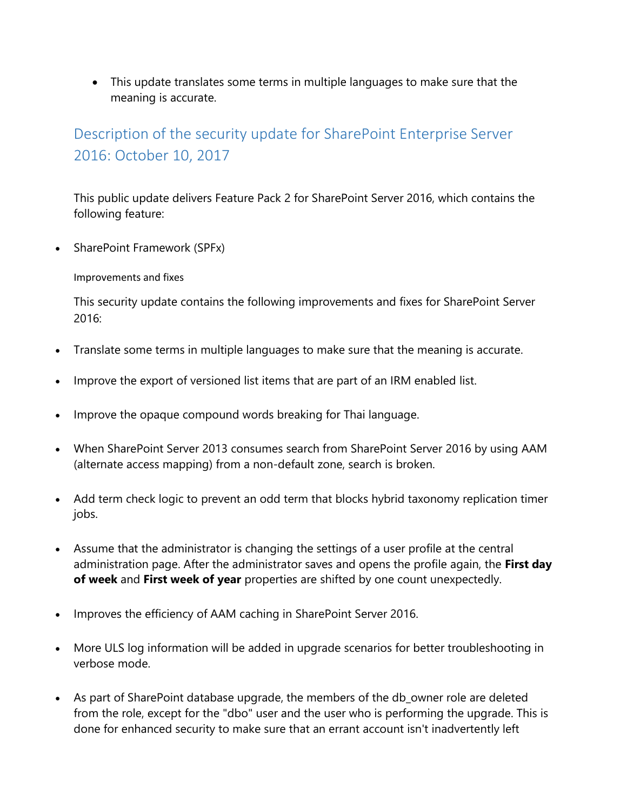• This update translates some terms in multiple languages to make sure that the meaning is accurate.

## <span id="page-3-0"></span>Description of the security update for SharePoint Enterprise Server 2016: October 10, 2017

This public update delivers Feature Pack 2 for SharePoint Server 2016, which contains the following feature:

• SharePoint Framework (SPFx)

Improvements and fixes

This security update contains the following improvements and fixes for SharePoint Server 2016:

- Translate some terms in multiple languages to make sure that the meaning is accurate.
- Improve the export of versioned list items that are part of an IRM enabled list.
- Improve the opaque compound words breaking for Thai language.
- When SharePoint Server 2013 consumes search from SharePoint Server 2016 by using AAM (alternate access mapping) from a non-default zone, search is broken.
- Add term check logic to prevent an odd term that blocks hybrid taxonomy replication timer jobs.
- Assume that the administrator is changing the settings of a user profile at the central administration page. After the administrator saves and opens the profile again, the **First day of week** and **First week of year** properties are shifted by one count unexpectedly.
- Improves the efficiency of AAM caching in SharePoint Server 2016.
- More ULS log information will be added in upgrade scenarios for better troubleshooting in verbose mode.
- As part of SharePoint database upgrade, the members of the db\_owner role are deleted from the role, except for the "dbo" user and the user who is performing the upgrade. This is done for enhanced security to make sure that an errant account isn't inadvertently left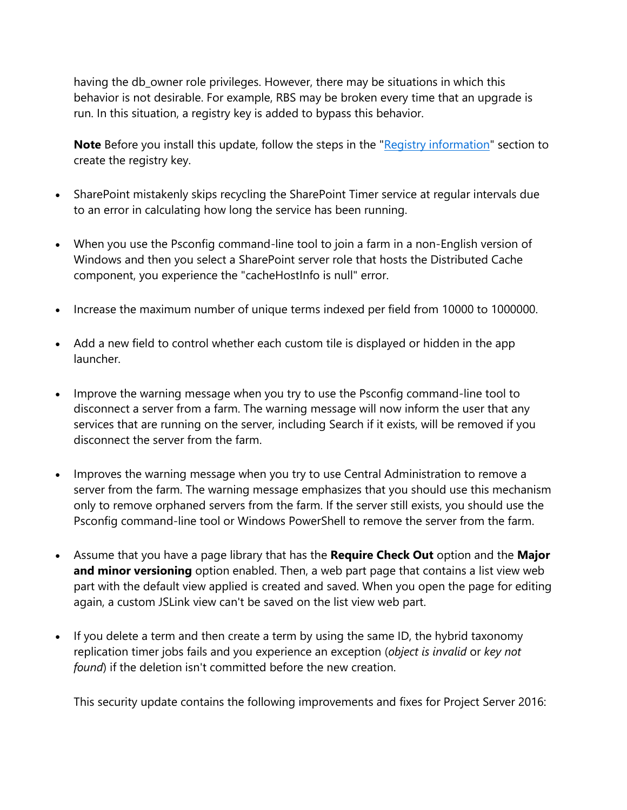having the db\_owner role privileges. However, there may be situations in which this behavior is not desirable. For example, RBS may be broken every time that an upgrade is run. In this situation, a registry key is added to bypass this behavior.

**Note** Before you install this update, follow the steps in the ["Registry information"](https://support.microsoft.com/#reg) section to create the registry key.

- SharePoint mistakenly skips recycling the SharePoint Timer service at regular intervals due to an error in calculating how long the service has been running.
- When you use the Psconfig command-line tool to join a farm in a non-English version of Windows and then you select a SharePoint server role that hosts the Distributed Cache component, you experience the "cacheHostInfo is null" error.
- Increase the maximum number of unique terms indexed per field from 10000 to 1000000.
- Add a new field to control whether each custom tile is displayed or hidden in the app launcher.
- Improve the warning message when you try to use the Psconfig command-line tool to disconnect a server from a farm. The warning message will now inform the user that any services that are running on the server, including Search if it exists, will be removed if you disconnect the server from the farm.
- Improves the warning message when you try to use Central Administration to remove a server from the farm. The warning message emphasizes that you should use this mechanism only to remove orphaned servers from the farm. If the server still exists, you should use the Psconfig command-line tool or Windows PowerShell to remove the server from the farm.
- Assume that you have a page library that has the **Require Check Out** option and the **Major and minor versioning** option enabled. Then, a web part page that contains a list view web part with the default view applied is created and saved. When you open the page for editing again, a custom JSLink view can't be saved on the list view web part.
- If you delete a term and then create a term by using the same ID, the hybrid taxonomy replication timer jobs fails and you experience an exception (*object is invalid* or *key not found*) if the deletion isn't committed before the new creation.

This security update contains the following improvements and fixes for Project Server 2016: